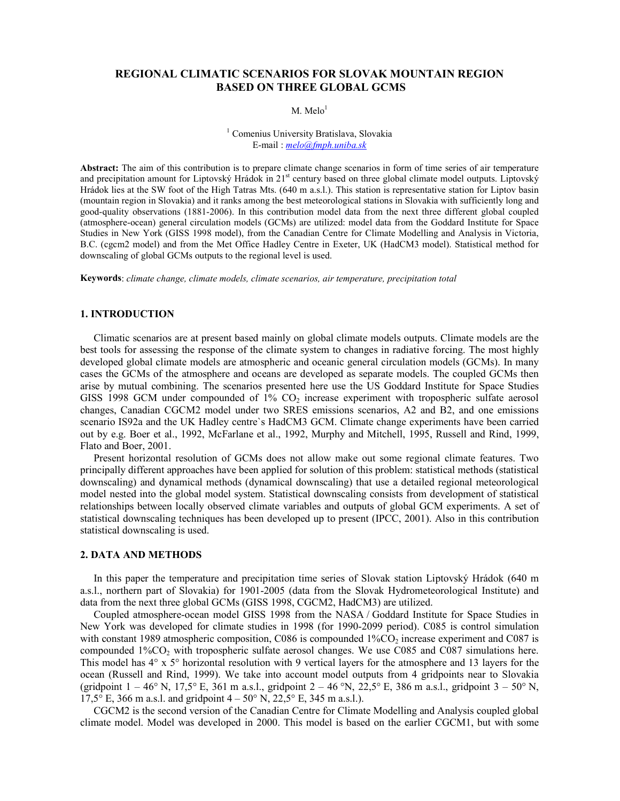# REGIONAL CLIMATIC SCENARIOS FOR SLOVAK MOUNTAIN REGION BASED ON THREE GLOBAL GCMS

 $M.$  Melo<sup>1</sup>

1 Comenius University Bratislava, Slovakia E-mail : melo@fmph.uniba.sk

Abstract: The aim of this contribution is to prepare climate change scenarios in form of time series of air temperature and precipitation amount for Liptovský Hrádok in  $21<sup>st</sup>$  century based on three global climate model outputs. Liptovský Hrádok lies at the SW foot of the High Tatras Mts. (640 m a.s.l.). This station is representative station for Liptov basin (mountain region in Slovakia) and it ranks among the best meteorological stations in Slovakia with sufficiently long and good-quality observations (1881-2006). In this contribution model data from the next three different global coupled (atmosphere-ocean) general circulation models (GCMs) are utilized: model data from the Goddard Institute for Space Studies in New York (GISS 1998 model), from the Canadian Centre for Climate Modelling and Analysis in Victoria, B.C. (cgcm2 model) and from the Met Office Hadley Centre in Exeter, UK (HadCM3 model). Statistical method for downscaling of global GCMs outputs to the regional level is used.

Keywords: climate change, climate models, climate scenarios, air temperature, precipitation total

#### 1. INTRODUCTION

Climatic scenarios are at present based mainly on global climate models outputs. Climate models are the best tools for assessing the response of the climate system to changes in radiative forcing. The most highly developed global climate models are atmospheric and oceanic general circulation models (GCMs). In many cases the GCMs of the atmosphere and oceans are developed as separate models. The coupled GCMs then arise by mutual combining. The scenarios presented here use the US Goddard Institute for Space Studies GISS 1998 GCM under compounded of  $1\%$  CO<sub>2</sub> increase experiment with tropospheric sulfate aerosol changes, Canadian CGCM2 model under two SRES emissions scenarios, A2 and B2, and one emissions scenario IS92a and the UK Hadley centre`s HadCM3 GCM. Climate change experiments have been carried out by e.g. Boer et al., 1992, McFarlane et al., 1992, Murphy and Mitchell, 1995, Russell and Rind, 1999, Flato and Boer, 2001.

Present horizontal resolution of GCMs does not allow make out some regional climate features. Two principally different approaches have been applied for solution of this problem: statistical methods (statistical downscaling) and dynamical methods (dynamical downscaling) that use a detailed regional meteorological model nested into the global model system. Statistical downscaling consists from development of statistical relationships between locally observed climate variables and outputs of global GCM experiments. A set of statistical downscaling techniques has been developed up to present (IPCC, 2001). Also in this contribution statistical downscaling is used.

#### 2. DATA AND METHODS

In this paper the temperature and precipitation time series of Slovak station Liptovský Hrádok (640 m a.s.l., northern part of Slovakia) for 1901-2005 (data from the Slovak Hydrometeorological Institute) and data from the next three global GCMs (GISS 1998, CGCM2, HadCM3) are utilized.

Coupled atmosphere-ocean model GISS 1998 from the NASA / Goddard Institute for Space Studies in New York was developed for climate studies in 1998 (for 1990-2099 period). C085 is control simulation with constant 1989 atmospheric composition, C086 is compounded  $1\%$ CO<sub>2</sub> increase experiment and C087 is compounded  $1\%CO_2$  with tropospheric sulfate aerosol changes. We use C085 and C087 simulations here. This model has 4° x 5° horizontal resolution with 9 vertical layers for the atmosphere and 13 layers for the ocean (Russell and Rind, 1999). We take into account model outputs from 4 gridpoints near to Slovakia (gridpoint  $1 - 46^{\circ}$  N,  $17.5^{\circ}$  E, 361 m a.s.l., gridpoint  $2 - 46^{\circ}$  N,  $22.5^{\circ}$  E, 386 m a.s.l., gridpoint  $3 - 50^{\circ}$  N, 17,5° E, 366 m a.s.l. and gridpoint  $4 - 50$ ° N, 22,5° E, 345 m a.s.l.).

CGCM2 is the second version of the Canadian Centre for Climate Modelling and Analysis coupled global climate model. Model was developed in 2000. This model is based on the earlier CGCM1, but with some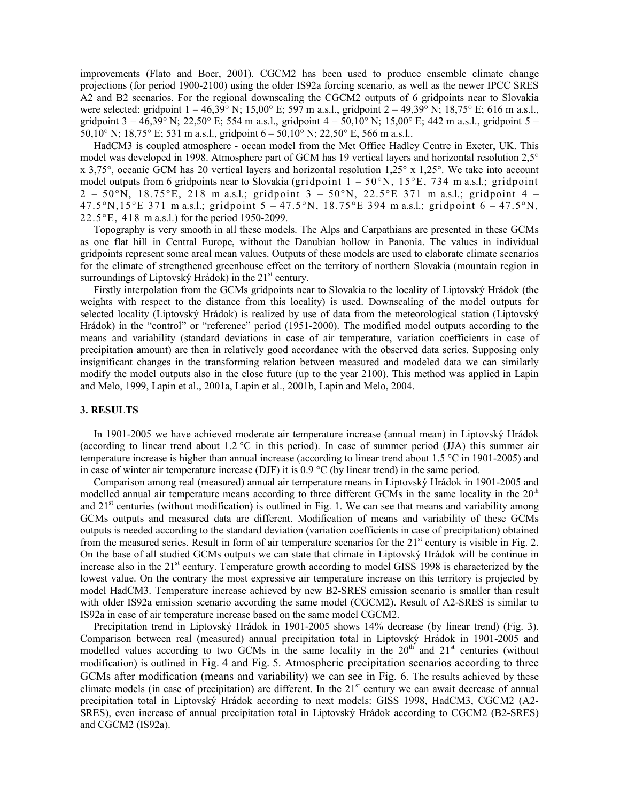improvements (Flato and Boer, 2001). CGCM2 has been used to produce ensemble climate change projections (for period 1900-2100) using the older IS92a forcing scenario, as well as the newer IPCC SRES A2 and B2 scenarios. For the regional downscaling the CGCM2 outputs of 6 gridpoints near to Slovakia were selected: gridpoint 1 – 46,39° N; 15,00° E; 597 m a.s.l., gridpoint 2 – 49,39° N; 18,75° E; 616 m a.s.l., gridpoint  $3 - 46,39^{\circ}$  N; 22,50° E; 554 m a.s.l., gridpoint  $4 - 50,10^{\circ}$  N; 15,00° E; 442 m a.s.l., gridpoint  $5 -$ 50,10° N; 18,75° E; 531 m a.s.l., gridpoint 6 – 50,10° N; 22,50° E, 566 m a.s.l..

HadCM3 is coupled atmosphere - ocean model from the Met Office Hadley Centre in Exeter, UK. This model was developed in 1998. Atmosphere part of GCM has 19 vertical layers and horizontal resolution 2,5° x 3,75°, oceanic GCM has 20 vertical layers and horizontal resolution 1,25° x 1,25°. We take into account model outputs from 6 gridpoints near to Slovakia (gridpoint  $1 - 50$ °N,  $15$ °E, 734 m a.s.l.; gridpoint  $2 - 50^{\circ}$ N, 18.75°E, 218 m a.s.l.; gridpoint  $3 - 50^{\circ}$ N, 22.5°E 371 m a.s.l.; gridpoint 4 – 47.5°N,15°E 371 m a.s.l.; gridpoint  $5 - 47.5$ °N, 18.75°E 394 m a.s.l.; gridpoint  $6 - 47.5$ °N, 22.5°E, 418 m a.s.l.) for the period 1950-2099.

Topography is very smooth in all these models. The Alps and Carpathians are presented in these GCMs as one flat hill in Central Europe, without the Danubian hollow in Panonia. The values in individual gridpoints represent some areal mean values. Outputs of these models are used to elaborate climate scenarios for the climate of strengthened greenhouse effect on the territory of northern Slovakia (mountain region in surroundings of Liptovský Hrádok) in the  $21<sup>st</sup>$  century.

Firstly interpolation from the GCMs gridpoints near to Slovakia to the locality of Liptovský Hrádok (the weights with respect to the distance from this locality) is used. Downscaling of the model outputs for selected locality (Liptovský Hrádok) is realized by use of data from the meteorological station (Liptovský Hrádok) in the "control" or "reference" period (1951-2000). The modified model outputs according to the means and variability (standard deviations in case of air temperature, variation coefficients in case of precipitation amount) are then in relatively good accordance with the observed data series. Supposing only insignificant changes in the transforming relation between measured and modeled data we can similarly modify the model outputs also in the close future (up to the year 2100). This method was applied in Lapin and Melo, 1999, Lapin et al., 2001a, Lapin et al., 2001b, Lapin and Melo, 2004.

### 3. RESULTS

In 1901-2005 we have achieved moderate air temperature increase (annual mean) in Liptovský Hrádok (according to linear trend about 1.2  $\degree$ C in this period). In case of summer period (JJA) this summer air temperature increase is higher than annual increase (according to linear trend about 1.5 °C in 1901-2005) and in case of winter air temperature increase (DJF) it is  $0.9 \degree C$  (by linear trend) in the same period.

Comparison among real (measured) annual air temperature means in Liptovský Hrádok in 1901-2005 and modelled annual air temperature means according to three different GCMs in the same locality in the 20<sup>th</sup> and  $21<sup>st</sup>$  centuries (without modification) is outlined in Fig. 1. We can see that means and variability among GCMs outputs and measured data are different. Modification of means and variability of these GCMs outputs is needed according to the standard deviation (variation coefficients in case of precipitation) obtained from the measured series. Result in form of air temperature scenarios for the  $21<sup>st</sup>$  century is visible in Fig. 2. On the base of all studied GCMs outputs we can state that climate in Liptovský Hrádok will be continue in increase also in the 21<sup>st</sup> century. Temperature growth according to model GISS 1998 is characterized by the lowest value. On the contrary the most expressive air temperature increase on this territory is projected by model HadCM3. Temperature increase achieved by new B2-SRES emission scenario is smaller than result with older IS92a emission scenario according the same model (CGCM2). Result of A2-SRES is similar to IS92a in case of air temperature increase based on the same model CGCM2.

Precipitation trend in Liptovský Hrádok in 1901-2005 shows 14% decrease (by linear trend) (Fig. 3). Comparison between real (measured) annual precipitation total in Liptovský Hrádok in 1901-2005 and modelled values according to two GCMs in the same locality in the  $20<sup>th</sup>$  and  $21<sup>st</sup>$  centuries (without modification) is outlined in Fig. 4 and Fig. 5. Atmospheric precipitation scenarios according to three GCMs after modification (means and variability) we can see in Fig. 6. The results achieved by these climate models (in case of precipitation) are different. In the 21<sup>st</sup> century we can await decrease of annual precipitation total in Liptovský Hrádok according to next models: GISS 1998, HadCM3, CGCM2 (A2- SRES), even increase of annual precipitation total in Liptovský Hrádok according to CGCM2 (B2-SRES) and CGCM2 (IS92a).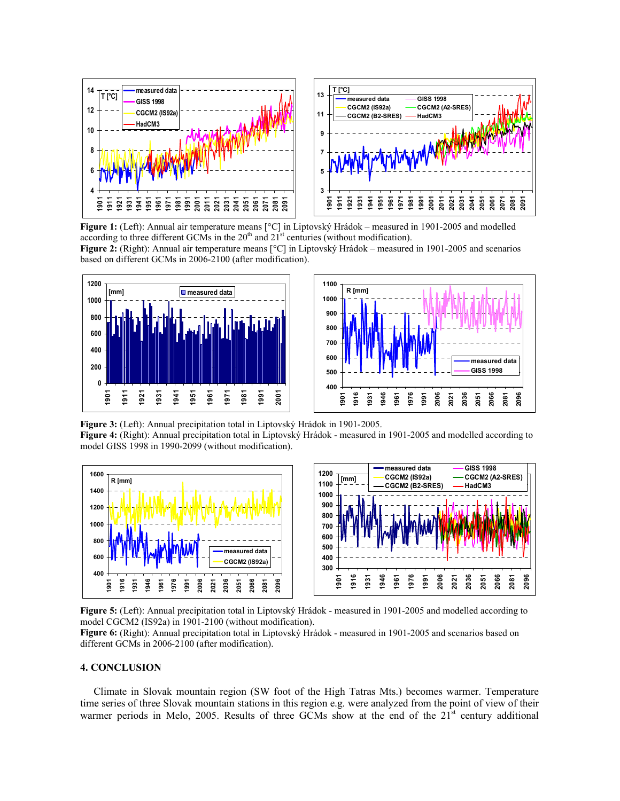

Figure 1: (Left): Annual air temperature means [°C] in Liptovský Hrádok – measured in 1901-2005 and modelled according to three different GCMs in the  $20<sup>th</sup>$  and  $21<sup>st</sup>$  centuries (without modification).

Figure 2: (Right): Annual air temperature means [°C] in Liptovský Hrádok – measured in 1901-2005 and scenarios based on different GCMs in 2006-2100 (after modification).





Figure 3: (Left): Annual precipitation total in Liptovský Hrádok in 1901-2005. Figure 4: (Right): Annual precipitation total in Liptovský Hrádok - measured in 1901-2005 and modelled according to model GISS 1998 in 1990-2099 (without modification).



Figure 5: (Left): Annual precipitation total in Liptovský Hrádok - measured in 1901-2005 and modelled according to model CGCM2 (IS92a) in 1901-2100 (without modification).

Figure 6: (Right): Annual precipitation total in Liptovský Hrádok - measured in 1901-2005 and scenarios based on different GCMs in 2006-2100 (after modification).

## 4. CONCLUSION

Climate in Slovak mountain region (SW foot of the High Tatras Mts.) becomes warmer. Temperature time series of three Slovak mountain stations in this region e.g. were analyzed from the point of view of their warmer periods in Melo, 2005. Results of three GCMs show at the end of the  $21<sup>st</sup>$  century additional